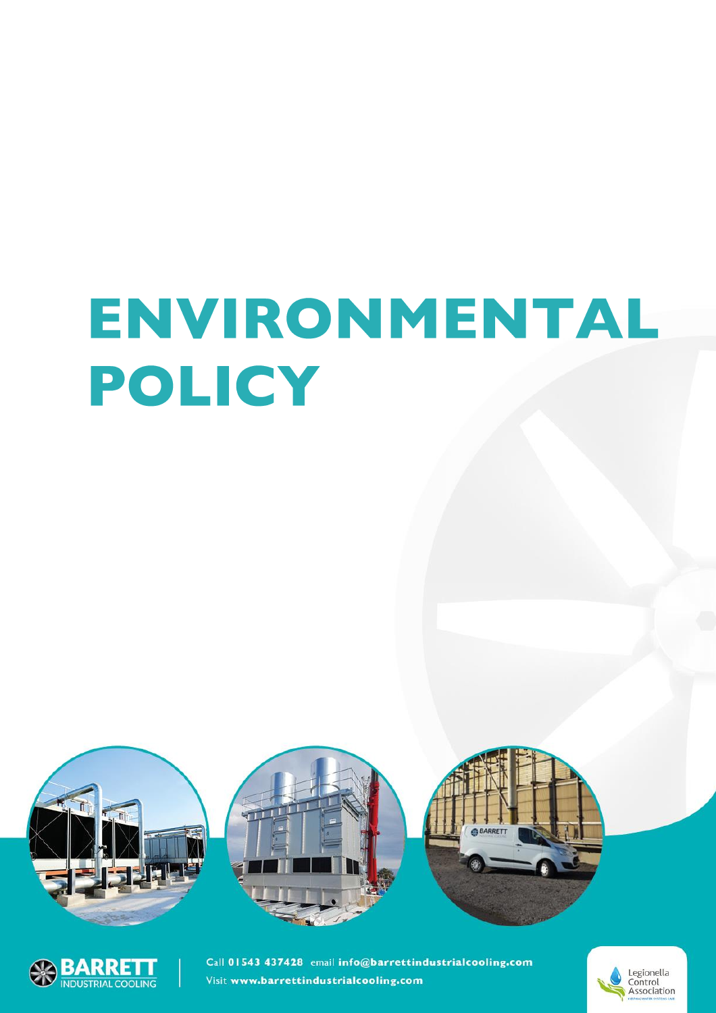## ENVIRONMENTAL POLICY





Call 01543 437428 email info@barrettindustrialcooling.com Visit www.barrettindustrialcooling.com